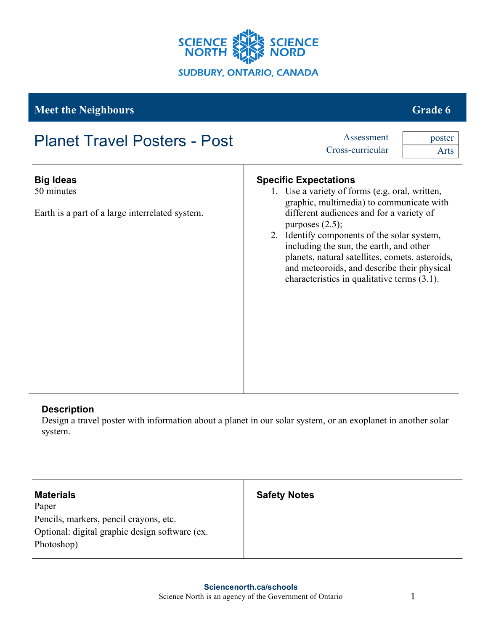

# **Meet the Neighbours Grade 6** and the set of the set of the set of the set of the set of the set of the set of the set of the set of the set of the set of the set of the set of the set of the set of the set of the set of t

| <b>Planet Travel Posters - Post</b>                                               | Assessment<br>Cross-curricular                                                                                                                                                                                                                                                                                                                                                                                                             | poster<br>Arts |
|-----------------------------------------------------------------------------------|--------------------------------------------------------------------------------------------------------------------------------------------------------------------------------------------------------------------------------------------------------------------------------------------------------------------------------------------------------------------------------------------------------------------------------------------|----------------|
| <b>Big Ideas</b><br>50 minutes<br>Earth is a part of a large interrelated system. | <b>Specific Expectations</b><br>1. Use a variety of forms (e.g. oral, written,<br>graphic, multimedia) to communicate with<br>different audiences and for a variety of<br>purposes $(2.5)$ ;<br>2. Identify components of the solar system,<br>including the sun, the earth, and other<br>planets, natural satellites, comets, asteroids,<br>and meteoroids, and describe their physical<br>characteristics in qualitative terms $(3.1)$ . |                |
|                                                                                   |                                                                                                                                                                                                                                                                                                                                                                                                                                            |                |

## **Description**

Design a travel poster with information about a planet in our solar system, or an exoplanet in another solar system.

| <b>Materials</b>                               | <b>Safety Notes</b> |
|------------------------------------------------|---------------------|
| Paper                                          |                     |
| Pencils, markers, pencil crayons, etc.         |                     |
| Optional: digital graphic design software (ex. |                     |
| Photoshop)                                     |                     |